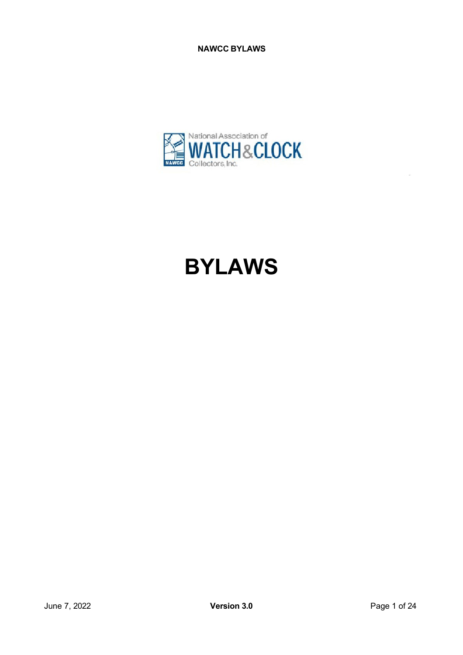

# **BYLAWS**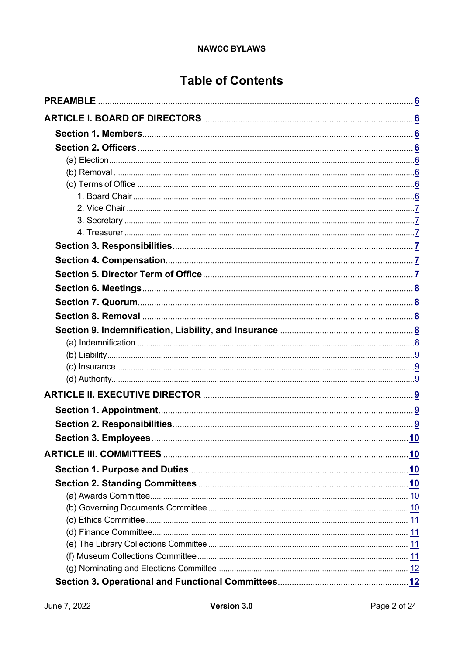# **Table of Contents**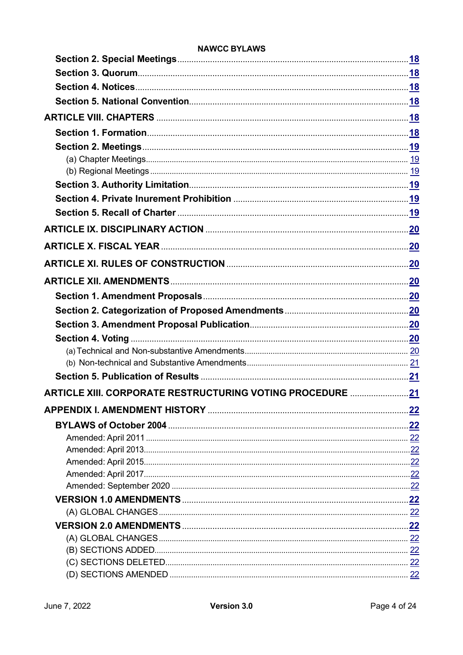|                                                                  | <u>.20</u> |
|------------------------------------------------------------------|------------|
|                                                                  |            |
|                                                                  |            |
|                                                                  |            |
|                                                                  |            |
|                                                                  |            |
|                                                                  |            |
|                                                                  |            |
|                                                                  |            |
|                                                                  |            |
| <b>ARTICLE XIII. CORPORATE RESTRUCTURING VOTING PROCEDURE 21</b> |            |
|                                                                  |            |
|                                                                  |            |
|                                                                  |            |
|                                                                  |            |
|                                                                  |            |
|                                                                  |            |
|                                                                  |            |
|                                                                  |            |
|                                                                  |            |
|                                                                  |            |
|                                                                  |            |
|                                                                  |            |
|                                                                  |            |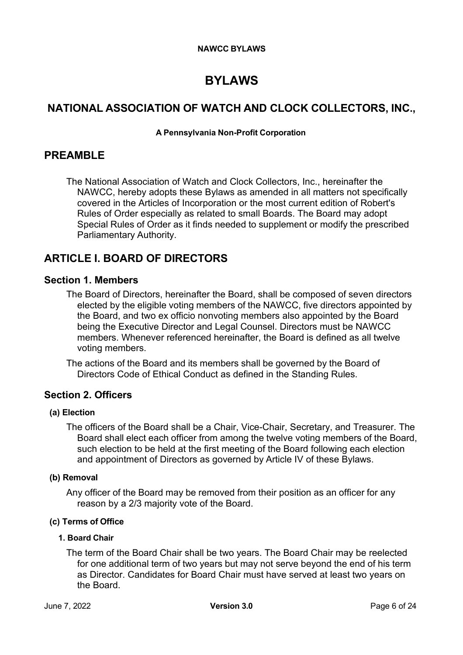# **BYLAWS**

# <span id="page-5-0"></span>**NATIONAL ASSOCIATION OF WATCH AND CLOCK COLLECTORS, INC.,**

#### **A Pennsylvania Non-Profit Corporation**

# **PREAMBLE**

The National Association of Watch and Clock Collectors, Inc., hereinafter the NAWCC, hereby adopts these Bylaws as amended in all matters not specifically covered in the Articles of Incorporation or the most current edition of Robert's Rules of Order especially as related to small Boards. The Board may adopt Special Rules of Order as it finds needed to supplement or modify the prescribed Parliamentary Authority.

# <span id="page-5-1"></span>**ARTICLE I. BOARD OF DIRECTORS**

## <span id="page-5-2"></span>**Section 1. Members**

The Board of Directors, hereinafter the Board, shall be composed of seven directors elected by the eligible voting members of the NAWCC, five directors appointed by the Board, and two ex officio nonvoting members also appointed by the Board being the Executive Director and Legal Counsel. Directors must be NAWCC members. Whenever referenced hereinafter, the Board is defined as all twelve voting members.

The actions of the Board and its members shall be governed by the Board of Directors Code of Ethical Conduct as defined in the Standing Rules.

# <span id="page-5-3"></span>**Section 2. Officers**

#### <span id="page-5-4"></span>**(a) Election**

The officers of the Board shall be a Chair, Vice-Chair, Secretary, and Treasurer. The Board shall elect each officer from among the twelve voting members of the Board, such election to be held at the first meeting of the Board following each election and appointment of Directors as governed by Article IV of these Bylaws.

#### <span id="page-5-5"></span>**(b) Removal**

Any officer of the Board may be removed from their position as an officer for any reason by a 2/3 majority vote of the Board.

#### <span id="page-5-7"></span><span id="page-5-6"></span>**(c) Terms of Office**

#### **1. Board Chair**

The term of the Board Chair shall be two years. The Board Chair may be reelected for one additional term of two years but may not serve beyond the end of his term as Director. Candidates for Board Chair must have served at least two years on the Board.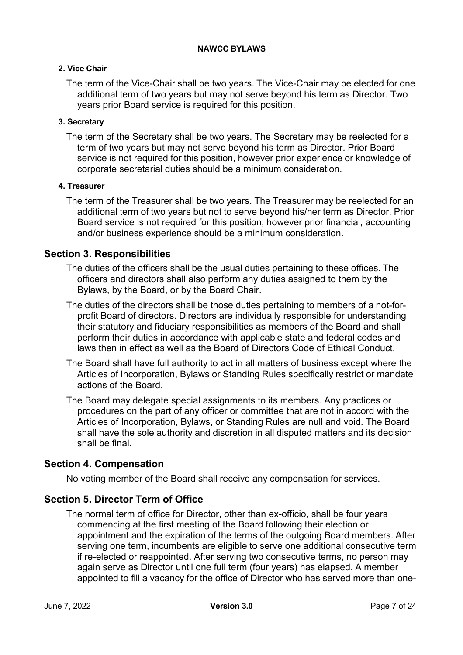#### <span id="page-6-0"></span>**2. Vice Chair**

The term of the Vice-Chair shall be two years. The Vice-Chair may be elected for one additional term of two years but may not serve beyond his term as Director. Two years prior Board service is required for this position.

#### <span id="page-6-1"></span>**3. Secretary**

The term of the Secretary shall be two years. The Secretary may be reelected for a term of two years but may not serve beyond his term as Director. Prior Board service is not required for this position, however prior experience or knowledge of corporate secretarial duties should be a minimum consideration.

#### <span id="page-6-2"></span>**4. Treasurer**

The term of the Treasurer shall be two years. The Treasurer may be reelected for an additional term of two years but not to serve beyond his/her term as Director. Prior Board service is not required for this position, however prior financial, accounting and/or business experience should be a minimum consideration.

## <span id="page-6-3"></span>**Section 3. Responsibilities**

The duties of the officers shall be the usual duties pertaining to these offices. The officers and directors shall also perform any duties assigned to them by the Bylaws, by the Board, or by the Board Chair.

- The duties of the directors shall be those duties pertaining to members of a not-forprofit Board of directors. Directors are individually responsible for understanding their statutory and fiduciary responsibilities as members of the Board and shall perform their duties in accordance with applicable state and federal codes and laws then in effect as well as the Board of Directors Code of Ethical Conduct.
- The Board shall have full authority to act in all matters of business except where the Articles of Incorporation, Bylaws or Standing Rules specifically restrict or mandate actions of the Board.
- The Board may delegate special assignments to its members. Any practices or procedures on the part of any officer or committee that are not in accord with the Articles of Incorporation, Bylaws, or Standing Rules are null and void. The Board shall have the sole authority and discretion in all disputed matters and its decision shall be final.

# <span id="page-6-4"></span>**Section 4. Compensation**

No voting member of the Board shall receive any compensation for services.

# <span id="page-6-5"></span>**Section 5. Director Term of Office**

The normal term of office for Director, other than ex-officio, shall be four years commencing at the first meeting of the Board following their election or appointment and the expiration of the terms of the outgoing Board members. After serving one term, incumbents are eligible to serve one additional consecutive term if re-elected or reappointed. After serving two consecutive terms, no person may again serve as Director until one full term (four years) has elapsed. A member appointed to fill a vacancy for the office of Director who has served more than one-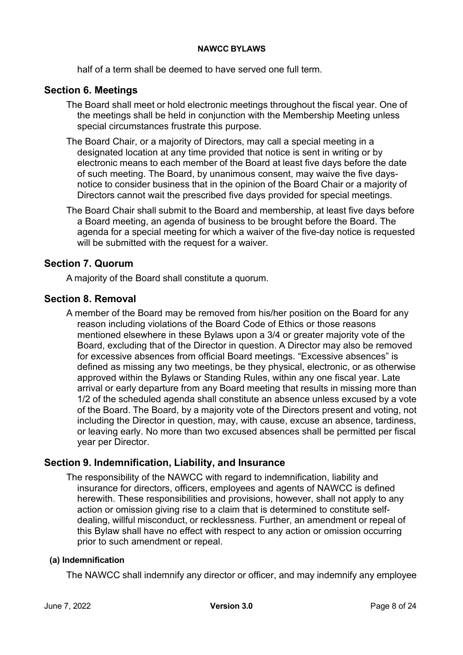half of a term shall be deemed to have served one full term.

# <span id="page-7-0"></span>**Section 6. Meetings**

- The Board shall meet or hold electronic meetings throughout the fiscal year. One of the meetings shall be held in conjunction with the Membership Meeting unless special circumstances frustrate this purpose.
- The Board Chair, or a majority of Directors, may call a special meeting in a designated location at any time provided that notice is sent in writing or by electronic means to each member of the Board at least five days before the date of such meeting. The Board, by unanimous consent, may waive the five daysnotice to consider business that in the opinion of the Board Chair or a majority of Directors cannot wait the prescribed five days provided for special meetings.
- The Board Chair shall submit to the Board and membership, at least five days before a Board meeting, an agenda of business to be brought before the Board. The agenda for a special meeting for which a waiver of the five-day notice is requested will be submitted with the request for a waiver.

# <span id="page-7-1"></span>**Section 7. Quorum**

A majority of the Board shall constitute a quorum.

# <span id="page-7-2"></span>**Section 8. Removal**

A member of the Board may be removed from his/her position on the Board for any reason including violations of the Board Code of Ethics or those reasons mentioned elsewhere in these Bylaws upon a 3/4 or greater majority vote of the Board, excluding that of the Director in question. A Director may also be removed for excessive absences from official Board meetings. "Excessive absences" is defined as missing any two meetings, be they physical, electronic, or as otherwise approved within the Bylaws or Standing Rules, within any one fiscal year. Late arrival or early departure from any Board meeting that results in missing more than 1/2 of the scheduled agenda shall constitute an absence unless excused by a vote of the Board. The Board, by a majority vote of the Directors present and voting, not including the Director in question, may, with cause, excuse an absence, tardiness, or leaving early. No more than two excused absences shall be permitted per fiscal year per Director.

# <span id="page-7-3"></span>**Section 9. Indemnification, Liability, and Insurance**

The responsibility of the NAWCC with regard to indemnification, liability and insurance for directors, officers, employees and agents of NAWCC is defined herewith. These responsibilities and provisions, however, shall not apply to any action or omission giving rise to a claim that is determined to constitute selfdealing, willful misconduct, or recklessness. Further, an amendment or repeal of this Bylaw shall have no effect with respect to any action or omission occurring prior to such amendment or repeal.

#### <span id="page-7-4"></span>**(a) Indemnification**

The NAWCC shall indemnify any director or officer, and may indemnify any employee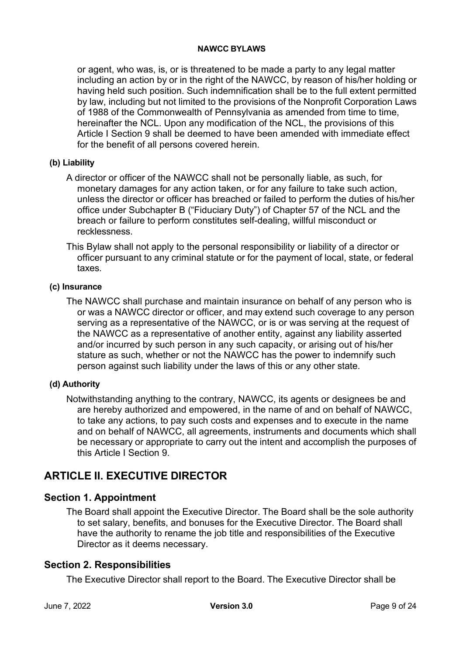or agent, who was, is, or is threatened to be made a party to any legal matter including an action by or in the right of the NAWCC, by reason of his/her holding or having held such position. Such indemnification shall be to the full extent permitted by law, including but not limited to the provisions of the Nonprofit Corporation Laws of 1988 of the Commonwealth of Pennsylvania as amended from time to time, hereinafter the NCL. Upon any modification of the NCL, the provisions of this Article I Section 9 shall be deemed to have been amended with immediate effect for the benefit of all persons covered herein.

#### <span id="page-8-0"></span>**(b) Liability**

A director or officer of the NAWCC shall not be personally liable, as such, for monetary damages for any action taken, or for any failure to take such action, unless the director or officer has breached or failed to perform the duties of his/her office under Subchapter B ("Fiduciary Duty") of Chapter 57 of the NCL and the breach or failure to perform constitutes self-dealing, willful misconduct or recklessness.

This Bylaw shall not apply to the personal responsibility or liability of a director or officer pursuant to any criminal statute or for the payment of local, state, or federal taxes.

#### <span id="page-8-1"></span>**(c) Insurance**

The NAWCC shall purchase and maintain insurance on behalf of any person who is or was a NAWCC director or officer, and may extend such coverage to any person serving as a representative of the NAWCC, or is or was serving at the request of the NAWCC as a representative of another entity, against any liability asserted and/or incurred by such person in any such capacity, or arising out of his/her stature as such, whether or not the NAWCC has the power to indemnify such person against such liability under the laws of this or any other state.

#### <span id="page-8-2"></span>**(d) Authority**

Notwithstanding anything to the contrary, NAWCC, its agents or designees be and are hereby authorized and empowered, in the name of and on behalf of NAWCC, to take any actions, to pay such costs and expenses and to execute in the name and on behalf of NAWCC, all agreements, instruments and documents which shall be necessary or appropriate to carry out the intent and accomplish the purposes of this Article I Section 9.

# <span id="page-8-3"></span>**ARTICLE II. EXECUTIVE DIRECTOR**

# <span id="page-8-4"></span>**Section 1. Appointment**

The Board shall appoint the Executive Director. The Board shall be the sole authority to set salary, benefits, and bonuses for the Executive Director. The Board shall have the authority to rename the job title and responsibilities of the Executive Director as it deems necessary.

# <span id="page-8-5"></span>**Section 2. Responsibilities**

The Executive Director shall report to the Board. The Executive Director shall be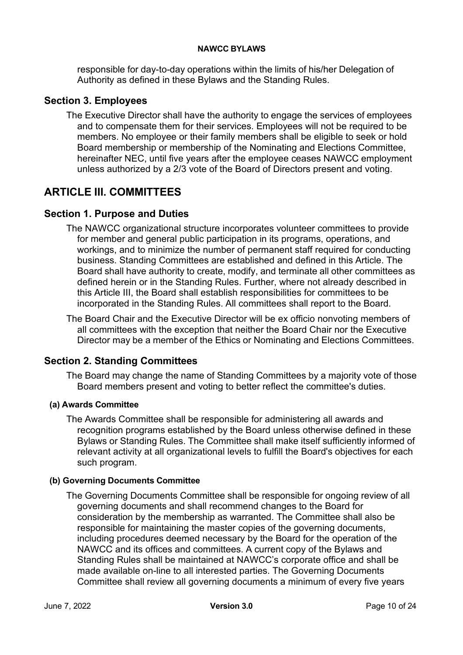responsible for day-to-day operations within the limits of his/her Delegation of Authority as defined in these Bylaws and the Standing Rules.

# <span id="page-9-0"></span>**Section 3. Employees**

The Executive Director shall have the authority to engage the services of employees and to compensate them for their services. Employees will not be required to be members. No employee or their family members shall be eligible to seek or hold Board membership or membership of the Nominating and Elections Committee, hereinafter NEC, until five years after the employee ceases NAWCC employment unless authorized by a 2/3 vote of the Board of Directors present and voting.

# <span id="page-9-1"></span>**ARTICLE III. COMMITTEES**

# <span id="page-9-2"></span>**Section 1. Purpose and Duties**

The NAWCC organizational structure incorporates volunteer committees to provide for member and general public participation in its programs, operations, and workings, and to minimize the number of permanent staff required for conducting business. Standing Committees are established and defined in this Article. The Board shall have authority to create, modify, and terminate all other committees as defined herein or in the Standing Rules. Further, where not already described in this Article III, the Board shall establish responsibilities for committees to be incorporated in the Standing Rules. All committees shall report to the Board.

The Board Chair and the Executive Director will be ex officio nonvoting members of all committees with the exception that neither the Board Chair nor the Executive Director may be a member of the Ethics or Nominating and Elections Committees.

# <span id="page-9-3"></span>**Section 2. Standing Committees**

The Board may change the name of Standing Committees by a majority vote of those Board members present and voting to better reflect the committee's duties.

#### <span id="page-9-4"></span>**(a) Awards Committee**

The Awards Committee shall be responsible for administering all awards and recognition programs established by the Board unless otherwise defined in these Bylaws or Standing Rules. The Committee shall make itself sufficiently informed of relevant activity at all organizational levels to fulfill the Board's objectives for each such program.

#### <span id="page-9-5"></span>**(b) Governing Documents Committee**

The Governing Documents Committee shall be responsible for ongoing review of all governing documents and shall recommend changes to the Board for consideration by the membership as warranted. The Committee shall also be responsible for maintaining the master copies of the governing documents, including procedures deemed necessary by the Board for the operation of the NAWCC and its offices and committees. A current copy of the Bylaws and Standing Rules shall be maintained at NAWCC's corporate office and shall be made available on-line to all interested parties. The Governing Documents Committee shall review all governing documents a minimum of every five years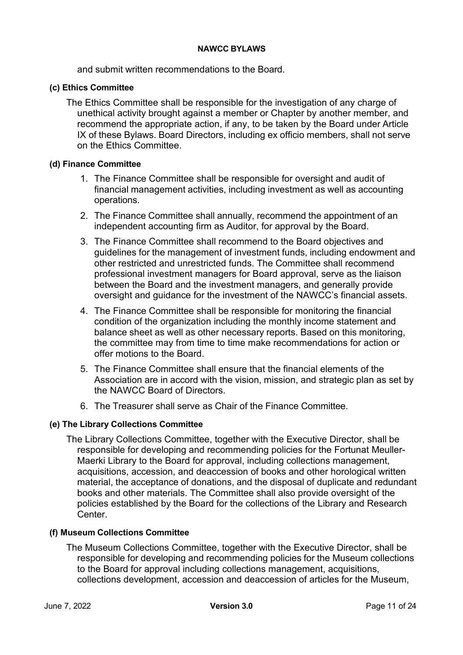and submit written recommendations to the Board.

#### <span id="page-10-0"></span>**(c) Ethics Committee**

The Ethics Committee shall be responsible for the investigation of any charge of unethical activity brought against a member or Chapter by another member, and recommend the appropriate action, if any, to be taken by the Board under Article IX of these Bylaws. Board Directors, including ex officio members, shall not serve on the Ethics Committee.

#### <span id="page-10-1"></span>**(d) Finance Committee**

- 1. The Finance Committee shall be responsible for oversight and audit of financial management activities, including investment as well as accounting operations.
- 2. The Finance Committee shall annually, recommend the appointment of an independent accounting firm as Auditor, for approval by the Board.
- 3. The Finance Committee shall recommend to the Board objectives and guidelines for the management of investment funds, including endowment and other restricted and unrestricted funds. The Committee shall recommend professional investment managers for Board approval, serve as the liaison between the Board and the investment managers, and generally provide oversight and guidance for the investment of the NAWCC's financial assets.
- 4. The Finance Committee shall be responsible for monitoring the financial condition of the organization including the monthly income statement and balance sheet as well as other necessary reports. Based on this monitoring, the committee may from time to time make recommendations for action or offer motions to the Board.
- 5. The Finance Committee shall ensure that the financial elements of the Association are in accord with the vision, mission, and strategic plan as set by the NAWCC Board of Directors.
- 6. The Treasurer shall serve as Chair of the Finance Committee.

#### <span id="page-10-2"></span>**(e) The Library Collections Committee**

The Library Collections Committee, together with the Executive Director, shall be responsible for developing and recommending policies for the Fortunat Meuller-Maerki Library to the Board for approval, including collections management, acquisitions, accession, and deaccession of books and other horological written material, the acceptance of donations, and the disposal of duplicate and redundant books and other materials. The Committee shall also provide oversight of the policies established by the Board for the collections of the Library and Research Center.

#### <span id="page-10-3"></span>**(f) Museum Collections Committee**

The Museum Collections Committee, together with the Executive Director, shall be responsible for developing and recommending policies for the Museum collections to the Board for approval including collections management, acquisitions, collections development, accession and deaccession of articles for the Museum,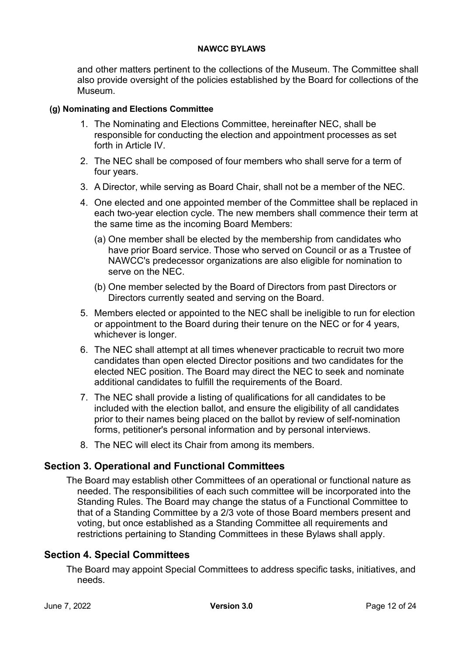and other matters pertinent to the collections of the Museum. The Committee shall also provide oversight of the policies established by the Board for collections of the Museum.

#### <span id="page-11-0"></span>**(g) Nominating and Elections Committee**

- 1. The Nominating and Elections Committee, hereinafter NEC, shall be responsible for conducting the election and appointment processes as set forth in Article IV.
- 2. The NEC shall be composed of four members who shall serve for a term of four years.
- 3. A Director, while serving as Board Chair, shall not be a member of the NEC.
- 4. One elected and one appointed member of the Committee shall be replaced in each two-year election cycle. The new members shall commence their term at the same time as the incoming Board Members:
	- (a) One member shall be elected by the membership from candidates who have prior Board service. Those who served on Council or as a Trustee of NAWCC's predecessor organizations are also eligible for nomination to serve on the NEC.
	- (b) One member selected by the Board of Directors from past Directors or Directors currently seated and serving on the Board.
- 5. Members elected or appointed to the NEC shall be ineligible to run for election or appointment to the Board during their tenure on the NEC or for 4 years, whichever is longer.
- 6. The NEC shall attempt at all times whenever practicable to recruit two more candidates than open elected Director positions and two candidates for the elected NEC position. The Board may direct the NEC to seek and nominate additional candidates to fulfill the requirements of the Board.
- 7. The NEC shall provide a listing of qualifications for all candidates to be included with the election ballot, and ensure the eligibility of all candidates prior to their names being placed on the ballot by review of self-nomination forms, petitioner's personal information and by personal interviews.
- 8. The NEC will elect its Chair from among its members.

# <span id="page-11-1"></span>**Section 3. Operational and Functional Committees**

The Board may establish other Committees of an operational or functional nature as needed. The responsibilities of each such committee will be incorporated into the Standing Rules. The Board may change the status of a Functional Committee to that of a Standing Committee by a 2/3 vote of those Board members present and voting, but once established as a Standing Committee all requirements and restrictions pertaining to Standing Committees in these Bylaws shall apply.

# <span id="page-11-2"></span>**Section 4. Special Committees**

The Board may appoint Special Committees to address specific tasks, initiatives, and needs.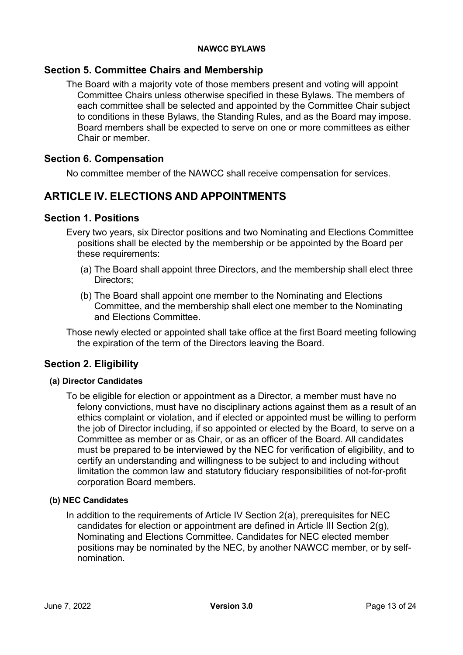# <span id="page-12-0"></span>**Section 5. Committee Chairs and Membership**

The Board with a majority vote of those members present and voting will appoint Committee Chairs unless otherwise specified in these Bylaws. The members of each committee shall be selected and appointed by the Committee Chair subject to conditions in these Bylaws, the Standing Rules, and as the Board may impose. Board members shall be expected to serve on one or more committees as either Chair or member.

## <span id="page-12-1"></span>**Section 6. Compensation**

No committee member of the NAWCC shall receive compensation for services.

# <span id="page-12-2"></span>**ARTICLE IV. ELECTIONS AND APPOINTMENTS**

# <span id="page-12-3"></span>**Section 1. Positions**

- Every two years, six Director positions and two Nominating and Elections Committee positions shall be elected by the membership or be appointed by the Board per these requirements:
	- (a) The Board shall appoint three Directors, and the membership shall elect three Directors;
	- (b) The Board shall appoint one member to the Nominating and Elections Committee, and the membership shall elect one member to the Nominating and Elections Committee.
- Those newly elected or appointed shall take office at the first Board meeting following the expiration of the term of the Directors leaving the Board.

# <span id="page-12-4"></span>**Section 2. Eligibility**

#### <span id="page-12-5"></span>**(a) Director Candidates**

To be eligible for election or appointment as a Director, a member must have no felony convictions, must have no disciplinary actions against them as a result of an ethics complaint or violation, and if elected or appointed must be willing to perform the job of Director including, if so appointed or elected by the Board, to serve on a Committee as member or as Chair, or as an officer of the Board. All candidates must be prepared to be interviewed by the NEC for verification of eligibility, and to certify an understanding and willingness to be subject to and including without limitation the common law and statutory fiduciary responsibilities of not-for-profit corporation Board members.

#### <span id="page-12-6"></span>**(b) NEC Candidates**

In addition to the requirements of Article IV Section 2(a), prerequisites for NEC candidates for election or appointment are defined in Article III Section 2(g), Nominating and Elections Committee. Candidates for NEC elected member positions may be nominated by the NEC, by another NAWCC member, or by selfnomination.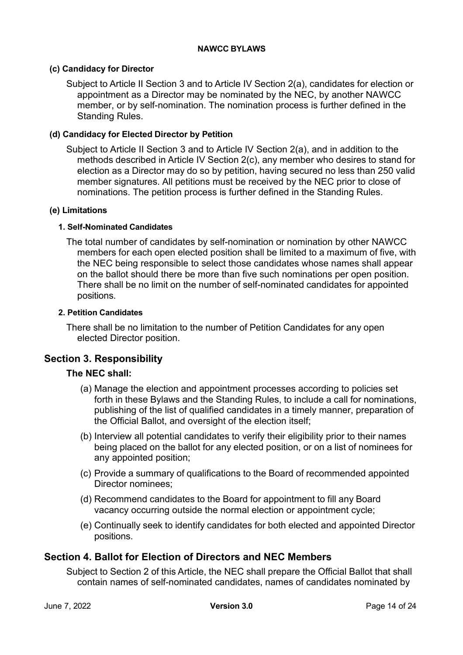#### <span id="page-13-0"></span>**(c) Candidacy for Director**

Subject to Article II Section 3 and to Article IV Section 2(a), candidates for election or appointment as a Director may be nominated by the NEC, by another NAWCC member, or by self-nomination. The nomination process is further defined in the Standing Rules.

#### <span id="page-13-1"></span>**(d) Candidacy for Elected Director by Petition**

Subject to Article II Section 3 and to Article IV Section 2(a), and in addition to the methods described in Article IV Section 2(c), any member who desires to stand for election as a Director may do so by petition, having secured no less than 250 valid member signatures. All petitions must be received by the NEC prior to close of nominations. The petition process is further defined in the Standing Rules.

#### <span id="page-13-3"></span><span id="page-13-2"></span>**(e) Limitations**

#### **1. Self-Nominated Candidates**

The total number of candidates by self-nomination or nomination by other NAWCC members for each open elected position shall be limited to a maximum of five, with the NEC being responsible to select those candidates whose names shall appear on the ballot should there be more than five such nominations per open position. There shall be no limit on the number of self-nominated candidates for appointed positions.

#### <span id="page-13-4"></span>**2. Petition Candidates**

There shall be no limitation to the number of Petition Candidates for any open elected Director position.

# <span id="page-13-5"></span>**Section 3. Responsibility**

#### **The NEC shall:**

- (a) Manage the election and appointment processes according to policies set forth in these Bylaws and the Standing Rules, to include a call for nominations, publishing of the list of qualified candidates in a timely manner, preparation of the Official Ballot, and oversight of the election itself;
- (b) Interview all potential candidates to verify their eligibility prior to their names being placed on the ballot for any elected position, or on a list of nominees for any appointed position;
- (c) Provide a summary of qualifications to the Board of recommended appointed Director nominees;
- (d) Recommend candidates to the Board for appointment to fill any Board vacancy occurring outside the normal election or appointment cycle;
- (e) Continually seek to identify candidates for both elected and appointed Director positions.

#### <span id="page-13-6"></span>**Section 4. Ballot for Election of Directors and NEC Members**

Subject to Section 2 of this Article, the NEC shall prepare the Official Ballot that shall contain names of self-nominated candidates, names of candidates nominated by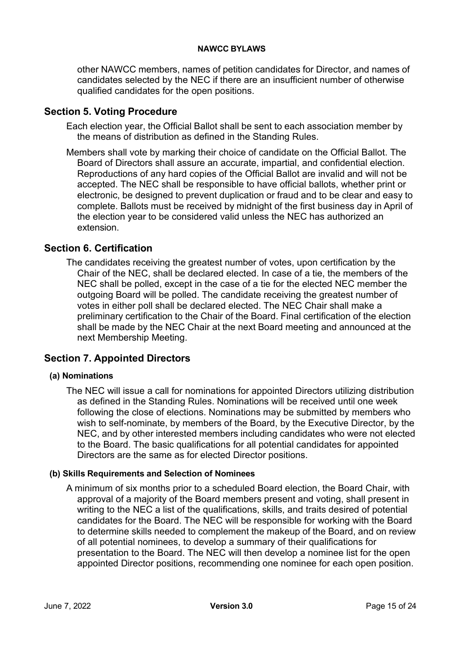other NAWCC members, names of petition candidates for Director, and names of candidates selected by the NEC if there are an insufficient number of otherwise qualified candidates for the open positions.

# <span id="page-14-0"></span>**Section 5. Voting Procedure**

Each election year, the Official Ballot shall be sent to each association member by the means of distribution as defined in the Standing Rules.

Members shall vote by marking their choice of candidate on the Official Ballot. The Board of Directors shall assure an accurate, impartial, and confidential election. Reproductions of any hard copies of the Official Ballot are invalid and will not be accepted. The NEC shall be responsible to have official ballots, whether print or electronic, be designed to prevent duplication or fraud and to be clear and easy to complete. Ballots must be received by midnight of the first business day in April of the election year to be considered valid unless the NEC has authorized an extension.

# <span id="page-14-1"></span>**Section 6. Certification**

The candidates receiving the greatest number of votes, upon certification by the Chair of the NEC, shall be declared elected. In case of a tie, the members of the NEC shall be polled, except in the case of a tie for the elected NEC member the outgoing Board will be polled. The candidate receiving the greatest number of votes in either poll shall be declared elected. The NEC Chair shall make a preliminary certification to the Chair of the Board. Final certification of the election shall be made by the NEC Chair at the next Board meeting and announced at the next Membership Meeting.

# <span id="page-14-3"></span><span id="page-14-2"></span>**Section 7. Appointed Directors**

#### **(a) Nominations**

The NEC will issue a call for nominations for appointed Directors utilizing distribution as defined in the Standing Rules. Nominations will be received until one week following the close of elections. Nominations may be submitted by members who wish to self-nominate, by members of the Board, by the Executive Director, by the NEC, and by other interested members including candidates who were not elected to the Board. The basic qualifications for all potential candidates for appointed Directors are the same as for elected Director positions.

#### <span id="page-14-4"></span>**(b) Skills Requirements and Selection of Nominees**

A minimum of six months prior to a scheduled Board election, the Board Chair, with approval of a majority of the Board members present and voting, shall present in writing to the NEC a list of the qualifications, skills, and traits desired of potential candidates for the Board. The NEC will be responsible for working with the Board to determine skills needed to complement the makeup of the Board, and on review of all potential nominees, to develop a summary of their qualifications for presentation to the Board. The NEC will then develop a nominee list for the open appointed Director positions, recommending one nominee for each open position.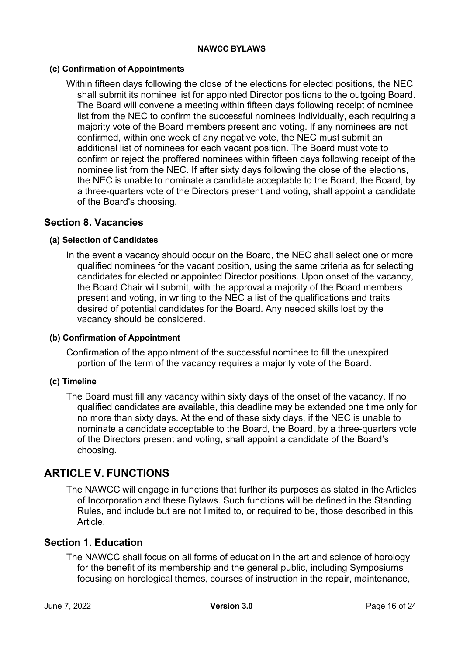#### <span id="page-15-0"></span>**(c) Confirmation of Appointments**

Within fifteen days following the close of the elections for elected positions, the NEC shall submit its nominee list for appointed Director positions to the outgoing Board. The Board will convene a meeting within fifteen days following receipt of nominee list from the NEC to confirm the successful nominees individually, each requiring a majority vote of the Board members present and voting. If any nominees are not confirmed, within one week of any negative vote, the NEC must submit an additional list of nominees for each vacant position. The Board must vote to confirm or reject the proffered nominees within fifteen days following receipt of the nominee list from the NEC. If after sixty days following the close of the elections, the NEC is unable to nominate a candidate acceptable to the Board, the Board, by a three-quarters vote of the Directors present and voting, shall appoint a candidate of the Board's choosing.

#### <span id="page-15-2"></span><span id="page-15-1"></span>**Section 8. Vacancies**

#### **(a) Selection of Candidates**

In the event a vacancy should occur on the Board, the NEC shall select one or more qualified nominees for the vacant position, using the same criteria as for selecting candidates for elected or appointed Director positions. Upon onset of the vacancy, the Board Chair will submit, with the approval a majority of the Board members present and voting, in writing to the NEC a list of the qualifications and traits desired of potential candidates for the Board. Any needed skills lost by the vacancy should be considered.

#### <span id="page-15-3"></span>**(b) Confirmation of Appointment**

Confirmation of the appointment of the successful nominee to fill the unexpired portion of the term of the vacancy requires a majority vote of the Board.

#### <span id="page-15-4"></span>**(c) Timeline**

The Board must fill any vacancy within sixty days of the onset of the vacancy. If no qualified candidates are available, this deadline may be extended one time only for no more than sixty days. At the end of these sixty days, if the NEC is unable to nominate a candidate acceptable to the Board, the Board, by a three-quarters vote of the Directors present and voting, shall appoint a candidate of the Board's choosing.

# <span id="page-15-5"></span>**ARTICLE V. FUNCTIONS**

The NAWCC will engage in functions that further its purposes as stated in the Articles of Incorporation and these Bylaws. Such functions will be defined in the Standing Rules, and include but are not limited to, or required to be, those described in this Article.

#### <span id="page-15-6"></span>**Section 1. Education**

The NAWCC shall focus on all forms of education in the art and science of horology for the benefit of its membership and the general public, including Symposiums focusing on horological themes, courses of instruction in the repair, maintenance,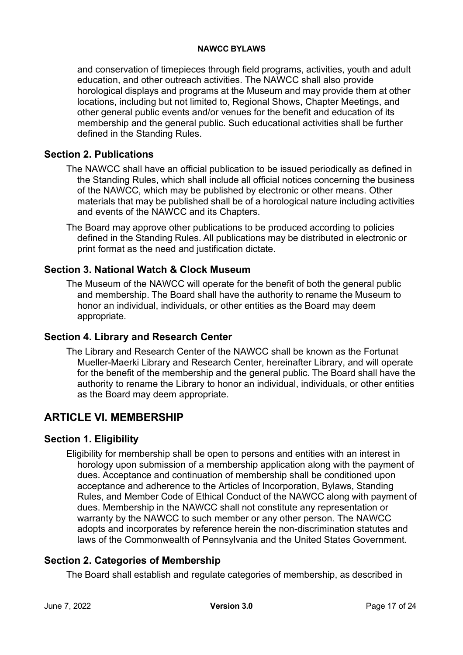and conservation of timepieces through field programs, activities, youth and adult education, and other outreach activities. The NAWCC shall also provide horological displays and programs at the Museum and may provide them at other locations, including but not limited to, Regional Shows, Chapter Meetings, and other general public events and/or venues for the benefit and education of its membership and the general public. Such educational activities shall be further defined in the Standing Rules.

# <span id="page-16-0"></span>**Section 2. Publications**

- The NAWCC shall have an official publication to be issued periodically as defined in the Standing Rules, which shall include all official notices concerning the business of the NAWCC, which may be published by electronic or other means. Other materials that may be published shall be of a horological nature including activities and events of the NAWCC and its Chapters.
- The Board may approve other publications to be produced according to policies defined in the Standing Rules. All publications may be distributed in electronic or print format as the need and justification dictate.

# <span id="page-16-1"></span>**Section 3. National Watch & Clock Museum**

The Museum of the NAWCC will operate for the benefit of both the general public and membership. The Board shall have the authority to rename the Museum to honor an individual, individuals, or other entities as the Board may deem appropriate.

# <span id="page-16-2"></span>**Section 4. Library and Research Center**

The Library and Research Center of the NAWCC shall be known as the Fortunat Mueller-Maerki Library and Research Center, hereinafter Library, and will operate for the benefit of the membership and the general public. The Board shall have the authority to rename the Library to honor an individual, individuals, or other entities as the Board may deem appropriate.

# <span id="page-16-3"></span>**ARTICLE VI. MEMBERSHIP**

# <span id="page-16-4"></span>**Section 1. Eligibility**

Eligibility for membership shall be open to persons and entities with an interest in horology upon submission of a membership application along with the payment of dues. Acceptance and continuation of membership shall be conditioned upon acceptance and adherence to the Articles of Incorporation, Bylaws, Standing Rules, and Member Code of Ethical Conduct of the NAWCC along with payment of dues. Membership in the NAWCC shall not constitute any representation or warranty by the NAWCC to such member or any other person. The NAWCC adopts and incorporates by reference herein the non-discrimination statutes and laws of the Commonwealth of Pennsylvania and the United States Government.

# <span id="page-16-5"></span>**Section 2. Categories of Membership**

The Board shall establish and regulate categories of membership, as described in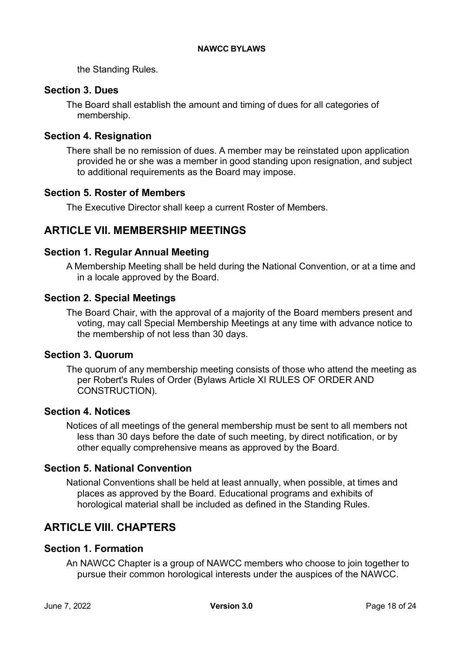the Standing Rules.

# <span id="page-17-0"></span>**Section 3. Dues**

The Board shall establish the amount and timing of dues for all categories of membership.

# <span id="page-17-1"></span>**Section 4. Resignation**

There shall be no remission of dues. A member may be reinstated upon application provided he or she was a member in good standing upon resignation, and subject to additional requirements as the Board may impose.

# <span id="page-17-2"></span>**Section 5. Roster of Members**

The Executive Director shall keep a current Roster of Members.

# <span id="page-17-3"></span>**ARTICLE VII. MEMBERSHIP MEETINGS**

# <span id="page-17-4"></span>**Section 1. Regular Annual Meeting**

A Membership Meeting shall be held during the National Convention, or at a time and in a locale approved by the Board.

# <span id="page-17-5"></span>**Section 2. Special Meetings**

The Board Chair, with the approval of a majority of the Board members present and voting, may call Special Membership Meetings at any time with advance notice to the membership of not less than 30 days.

# <span id="page-17-6"></span>**Section 3. Quorum**

The quorum of any membership meeting consists of those who attend the meeting as per Robert's Rules of Order (Bylaws Article XI RULES OF ORDER AND CONSTRUCTION).

# <span id="page-17-7"></span>**Section 4. Notices**

Notices of all meetings of the general membership must be sent to all members not less than 30 days before the date of such meeting, by direct notification, or by other equally comprehensive means as approved by the Board.

# <span id="page-17-8"></span>**Section 5. National Convention**

National Conventions shall be held at least annually, when possible, at times and places as approved by the Board. Educational programs and exhibits of horological material shall be included as defined in the Standing Rules.

# <span id="page-17-9"></span>**ARTICLE VIII. CHAPTERS**

# <span id="page-17-10"></span>**Section 1. Formation**

An NAWCC Chapter is a group of NAWCC members who choose to join together to pursue their common horological interests under the auspices of the NAWCC.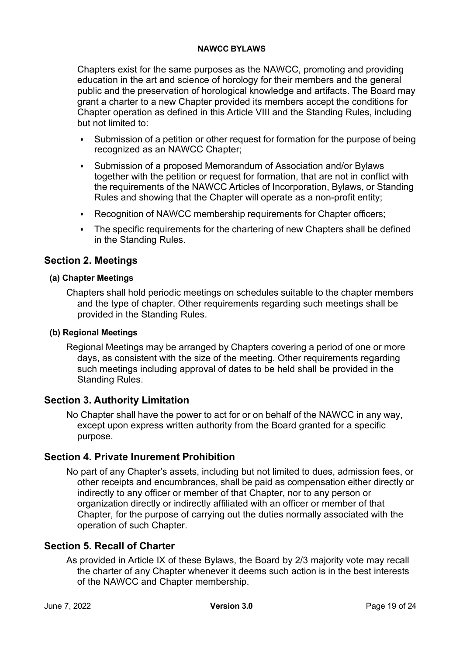Chapters exist for the same purposes as the NAWCC, promoting and providing education in the art and science of horology for their members and the general public and the preservation of horological knowledge and artifacts. The Board may grant a charter to a new Chapter provided its members accept the conditions for Chapter operation as defined in this Article VIII and the Standing Rules, including but not limited to:

- Submission of a petition or other request for formation for the purpose of being recognized as an NAWCC Chapter;
- Submission of a proposed Memorandum of Association and/or Bylaws together with the petition or request for formation, that are not in conflict with the requirements of the NAWCC Articles of Incorporation, Bylaws, or Standing Rules and showing that the Chapter will operate as a non-profit entity;
- Recognition of NAWCC membership requirements for Chapter officers;
- The specific requirements for the chartering of new Chapters shall be defined in the Standing Rules.

# <span id="page-18-0"></span>**Section 2. Meetings**

#### <span id="page-18-1"></span>**(a) Chapter Meetings**

Chapters shall hold periodic meetings on schedules suitable to the chapter members and the type of chapter. Other requirements regarding such meetings shall be provided in the Standing Rules.

#### <span id="page-18-2"></span>**(b) Regional Meetings**

Regional Meetings may be arranged by Chapters covering a period of one or more days, as consistent with the size of the meeting. Other requirements regarding such meetings including approval of dates to be held shall be provided in the Standing Rules.

# <span id="page-18-3"></span>**Section 3. Authority Limitation**

No Chapter shall have the power to act for or on behalf of the NAWCC in any way, except upon express written authority from the Board granted for a specific purpose.

# <span id="page-18-4"></span>**Section 4. Private Inurement Prohibition**

No part of any Chapter's assets, including but not limited to dues, admission fees, or other receipts and encumbrances, shall be paid as compensation either directly or indirectly to any officer or member of that Chapter, nor to any person or organization directly or indirectly affiliated with an officer or member of that Chapter, for the purpose of carrying out the duties normally associated with the operation of such Chapter.

# <span id="page-18-5"></span>**Section 5. Recall of Charter**

As provided in Article IX of these Bylaws, the Board by 2/3 majority vote may recall the charter of any Chapter whenever it deems such action is in the best interests of the NAWCC and Chapter membership.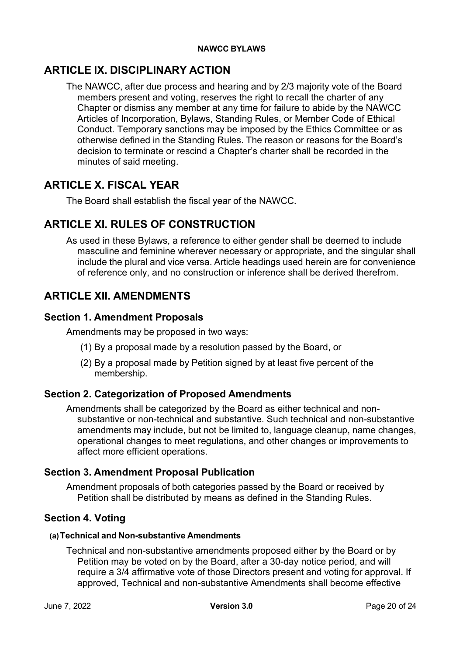# <span id="page-19-0"></span>**ARTICLE IX. DISCIPLINARY ACTION**

The NAWCC, after due process and hearing and by 2/3 majority vote of the Board members present and voting, reserves the right to recall the charter of any Chapter or dismiss any member at any time for failure to abide by the NAWCC Articles of Incorporation, Bylaws, Standing Rules, or Member Code of Ethical Conduct. Temporary sanctions may be imposed by the Ethics Committee or as otherwise defined in the Standing Rules. The reason or reasons for the Board's decision to terminate or rescind a Chapter's charter shall be recorded in the minutes of said meeting.

# <span id="page-19-1"></span>**ARTICLE X. FISCAL YEAR**

The Board shall establish the fiscal year of the NAWCC.

# <span id="page-19-2"></span>**ARTICLE XI. RULES OF CONSTRUCTION**

As used in these Bylaws, a reference to either gender shall be deemed to include masculine and feminine wherever necessary or appropriate, and the singular shall include the plural and vice versa. Article headings used herein are for convenience of reference only, and no construction or inference shall be derived therefrom.

# <span id="page-19-3"></span>**ARTICLE XII. AMENDMENTS**

# <span id="page-19-4"></span>**Section 1. Amendment Proposals**

Amendments may be proposed in two ways:

- (1) By a proposal made by a resolution passed by the Board, or
- (2) By a proposal made by Petition signed by at least five percent of the membership.

# <span id="page-19-5"></span>**Section 2. Categorization of Proposed Amendments**

Amendments shall be categorized by the Board as either technical and nonsubstantive or non-technical and substantive. Such technical and non-substantive amendments may include, but not be limited to, language cleanup, name changes, operational changes to meet regulations, and other changes or improvements to affect more efficient operations.

# <span id="page-19-6"></span>**Section 3. Amendment Proposal Publication**

Amendment proposals of both categories passed by the Board or received by Petition shall be distributed by means as defined in the Standing Rules.

# <span id="page-19-7"></span>**Section 4. Voting**

#### <span id="page-19-8"></span>**(a)Technical and Non-substantive Amendments**

Technical and non-substantive amendments proposed either by the Board or by Petition may be voted on by the Board, after a 30-day notice period, and will require a 3/4 affirmative vote of those Directors present and voting for approval. If approved, Technical and non-substantive Amendments shall become effective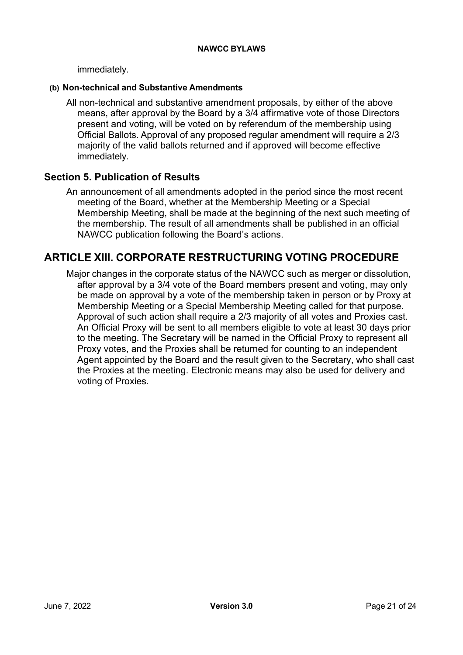immediately.

#### <span id="page-20-0"></span>**(b) Non-technical and Substantive Amendments**

All non-technical and substantive amendment proposals, by either of the above means, after approval by the Board by a 3/4 affirmative vote of those Directors present and voting, will be voted on by referendum of the membership using Official Ballots. Approval of any proposed regular amendment will require a 2/3 majority of the valid ballots returned and if approved will become effective immediately.

## <span id="page-20-1"></span>**Section 5. Publication of Results**

An announcement of all amendments adopted in the period since the most recent meeting of the Board, whether at the Membership Meeting or a Special Membership Meeting, shall be made at the beginning of the next such meeting of the membership. The result of all amendments shall be published in an official NAWCC publication following the Board's actions.

# <span id="page-20-2"></span>**ARTICLE XIII. CORPORATE RESTRUCTURING VOTING PROCEDURE**

Major changes in the corporate status of the NAWCC such as merger or dissolution, after approval by a 3/4 vote of the Board members present and voting, may only be made on approval by a vote of the membership taken in person or by Proxy at Membership Meeting or a Special Membership Meeting called for that purpose. Approval of such action shall require a 2/3 majority of all votes and Proxies cast. An Official Proxy will be sent to all members eligible to vote at least 30 days prior to the meeting. The Secretary will be named in the Official Proxy to represent all Proxy votes, and the Proxies shall be returned for counting to an independent Agent appointed by the Board and the result given to the Secretary, who shall cast the Proxies at the meeting. Electronic means may also be used for delivery and voting of Proxies.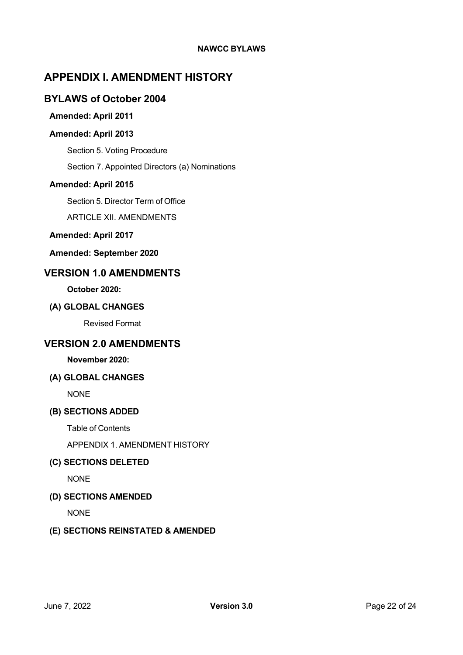# <span id="page-21-0"></span>**APPENDIX I. AMENDMENT HISTORY**

## <span id="page-21-2"></span><span id="page-21-1"></span>**BYLAWS of October 2004**

#### **Amended: April 2011**

#### <span id="page-21-3"></span>**Amended: April 2013**

Section 5. Voting Procedure

Section 7. Appointed Directors (a) Nominations

#### <span id="page-21-4"></span>**Amended: April 2015**

Section 5. Director Term of Office

ARTICLE XII. AMENDMENTS

#### <span id="page-21-5"></span>**Amended: April 2017**

<span id="page-21-6"></span>**Amended: September 2020**

# <span id="page-21-7"></span>**VERSION 1.0 AMENDMENTS**

**October 2020:**

#### <span id="page-21-8"></span>**(A) GLOBAL CHANGES**

Revised Format

# <span id="page-21-9"></span>**VERSION 2.0 AMENDMENTS**

#### **November 2020:**

#### <span id="page-21-10"></span>**(A) GLOBAL CHANGES**

NONE

#### <span id="page-21-11"></span>**(B) SECTIONS ADDED**

Table of Contents

APPENDIX 1. AMENDMENT HISTORY

#### <span id="page-21-12"></span>**(C) SECTIONS DELETED**

NONE

#### <span id="page-21-13"></span>**(D) SECTIONS AMENDED**

NONE

#### <span id="page-21-14"></span>**(E) SECTIONS REINSTATED & AMENDED**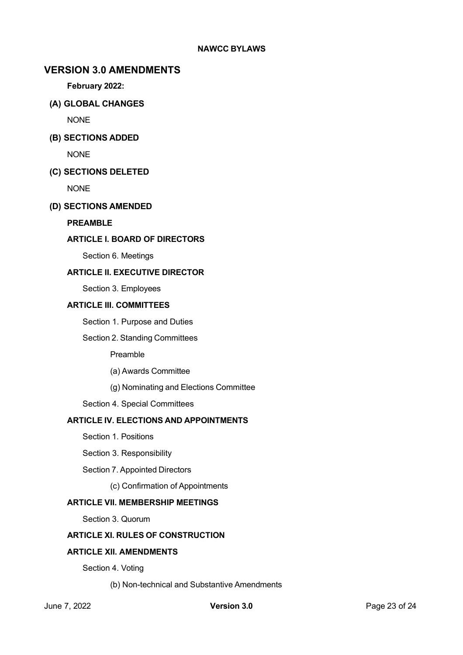## <span id="page-22-0"></span>**VERSION 3.0 AMENDMENTS**

**February 2022:**

<span id="page-22-1"></span>**(A) GLOBAL CHANGES**

NONE

<span id="page-22-2"></span>**(B) SECTIONS ADDED**

NONE

#### <span id="page-22-3"></span>**(C) SECTIONS DELETED**

NONE

#### <span id="page-22-4"></span>**(D) SECTIONS AMENDED**

#### **PREAMBLE**

#### **ARTICLE I. BOARD OF DIRECTORS**

Section 6. Meetings

#### **ARTICLE II. EXECUTIVE DIRECTOR**

Section 3. Employees

#### **ARTICLE III. COMMITTEES**

Section 1. Purpose and Duties

#### Section 2. Standing Committees

Preamble

(a) Awards Committee

(g) Nominating and Elections Committee

Section 4. Special Committees

#### **ARTICLE IV. ELECTIONS AND APPOINTMENTS**

Section 1. Positions

Section 3. Responsibility

Section 7. Appointed Directors

(c) Confirmation of Appointments

#### **ARTICLE VII. MEMBERSHIP MEETINGS**

Section 3. Quorum

#### **ARTICLE XI. RULES OF CONSTRUCTION**

#### **ARTICLE XII. AMENDMENTS**

Section 4. Voting

(b) Non-technical and Substantive Amendments